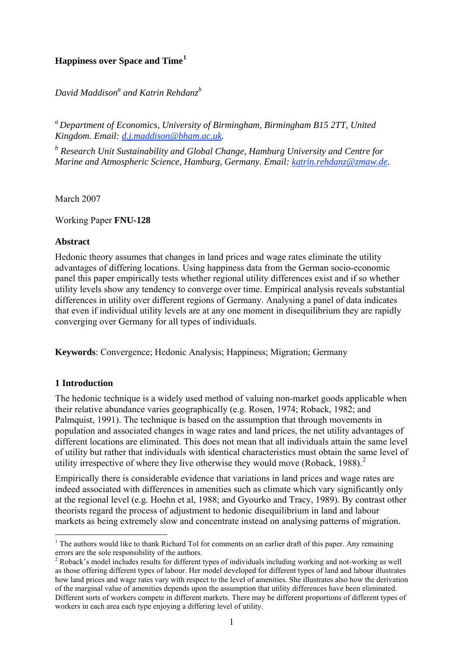# **Happiness over Space and Time[1](#page-0-0)**

 $D$ avid Maddison<sup>a</sup> and Katrin Rehdanz<sup>b</sup>

*a Department of Economics, University of Birmingham, Birmingham B15 2TT, United Kingdom. Email: [d.j.maddison@bham.ac.uk.](mailto:d.j.maddison@bham.ac.uk)* 

<sup>*b*</sup> Research Unit Sustainability and Global Change, Hamburg University and Centre for *Marine and Atmospheric Science, Hamburg, Germany. Email: [katrin.rehdanz@zmaw.de](mailto:katrin.rehdanz@zmaw.de).* 

March 2007

Working Paper **FNU-128** 

#### **Abstract**

Hedonic theory assumes that changes in land prices and wage rates eliminate the utility advantages of differing locations. Using happiness data from the German socio-economic panel this paper empirically tests whether regional utility differences exist and if so whether utility levels show any tendency to converge over time. Empirical analysis reveals substantial differences in utility over different regions of Germany. Analysing a panel of data indicates that even if individual utility levels are at any one moment in disequilibrium they are rapidly converging over Germany for all types of individuals.

**Keywords**: Convergence; Hedonic Analysis; Happiness; Migration; Germany

## **1 Introduction**

1

The hedonic technique is a widely used method of valuing non-market goods applicable when their relative abundance varies geographically (e.g. Rosen, 1974; Roback, 1982; and Palmquist, 1991). The technique is based on the assumption that through movements in population and associated changes in wage rates and land prices, the net utility advantages of different locations are eliminated. This does not mean that all individuals attain the same level of utility but rather that individuals with identical characteristics must obtain the same level of utility irrespective of where they live otherwise they would move (Roback, 1988).<sup>[2](#page-0-1)</sup>

Empirically there is considerable evidence that variations in land prices and wage rates are indeed associated with differences in amenities such as climate which vary significantly only at the regional level (e.g. Hoehn et al, 1988; and Gyourko and Tracy, 1989). By contrast other theorists regard the process of adjustment to hedonic disequilibrium in land and labour markets as being extremely slow and concentrate instead on analysing patterns of migration.

<span id="page-0-0"></span> $<sup>1</sup>$  The authors would like to thank Richard Tol for comments on an earlier draft of this paper. Any remaining</sup> errors are the sole responsibility of the authors. 2

<span id="page-0-1"></span><sup>&</sup>lt;sup>2</sup> Roback's model includes results for different types of individuals including working and not-working as well as those offering different types of labour. Her model developed for different types of land and labour illustrates how land prices and wage rates vary with respect to the level of amenities. She illustrates also how the derivation of the marginal value of amenities depends upon the assumption that utility differences have been eliminated. Different sorts of workers compete in different markets. There may be different proportions of different types of workers in each area each type enjoying a differing level of utility.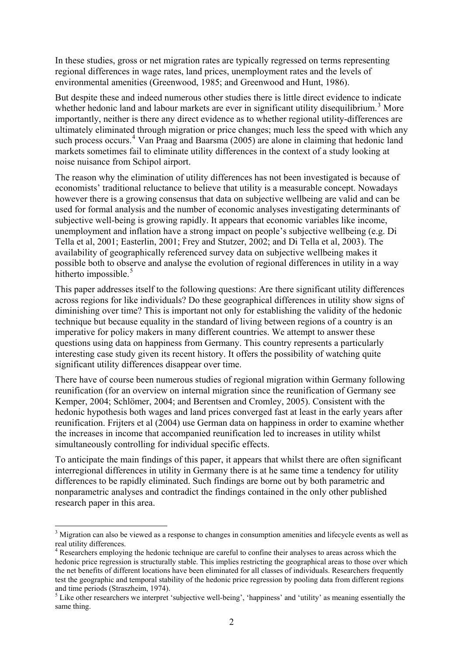In these studies, gross or net migration rates are typically regressed on terms representing regional differences in wage rates, land prices, unemployment rates and the levels of environmental amenities (Greenwood, 1985; and Greenwood and Hunt, 1986).

But despite these and indeed numerous other studies there is little direct evidence to indicate whether hedonic land and labour markets are ever in significant utility disequilibrium.<sup>[3](#page-1-0)</sup> More importantly, neither is there any direct evidence as to whether regional utility-differences are ultimately eliminated through migration or price changes; much less the speed with which any such process occurs.<sup>[4](#page-1-1)</sup> Van Praag and Baarsma (2005) are alone in claiming that hedonic land markets sometimes fail to eliminate utility differences in the context of a study looking at noise nuisance from Schipol airport.

The reason why the elimination of utility differences has not been investigated is because of economists' traditional reluctance to believe that utility is a measurable concept. Nowadays however there is a growing consensus that data on subjective wellbeing are valid and can be used for formal analysis and the number of economic analyses investigating determinants of subjective well-being is growing rapidly. It appears that economic variables like income, unemployment and inflation have a strong impact on people's subjective wellbeing (e.g. Di Tella et al, 2001; Easterlin, 2001; Frey and Stutzer, 2002; and Di Tella et al, 2003). The availability of geographically referenced survey data on subjective wellbeing makes it possible both to observe and analyse the evolution of regional differences in utility in a way hitherto impossible.<sup>[5](#page-1-2)</sup>

This paper addresses itself to the following questions: Are there significant utility differences across regions for like individuals? Do these geographical differences in utility show signs of diminishing over time? This is important not only for establishing the validity of the hedonic technique but because equality in the standard of living between regions of a country is an imperative for policy makers in many different countries. We attempt to answer these questions using data on happiness from Germany. This country represents a particularly interesting case study given its recent history. It offers the possibility of watching quite significant utility differences disappear over time.

There have of course been numerous studies of regional migration within Germany following reunification (for an overview on internal migration since the reunification of Germany see Kemper, 2004; Schlömer, 2004; and Berentsen and Cromley, 2005). Consistent with the hedonic hypothesis both wages and land prices converged fast at least in the early years after reunification. Frijters et al (2004) use German data on happiness in order to examine whether the increases in income that accompanied reunification led to increases in utility whilst simultaneously controlling for individual specific effects.

To anticipate the main findings of this paper, it appears that whilst there are often significant interregional differences in utility in Germany there is at he same time a tendency for utility differences to be rapidly eliminated. Such findings are borne out by both parametric and nonparametric analyses and contradict the findings contained in the only other published research paper in this area.

<span id="page-1-0"></span><sup>&</sup>lt;sup>3</sup> Migration can also be viewed as a response to changes in consumption amenities and lifecycle events as well as real utility differences.

<span id="page-1-1"></span><sup>&</sup>lt;sup>4</sup> Researchers employing the hedonic technique are careful to confine their analyses to areas across which the hedonic price regression is structurally stable. This implies restricting the geographical areas to those over which the net benefits of different locations have been eliminated for all classes of individuals. Researchers frequently test the geographic and temporal stability of the hedonic price regression by pooling data from different regions and time periods (Straszheim, 1974).

<span id="page-1-2"></span> $<sup>5</sup>$  Like other researchers we interpret 'subjective well-being', 'happiness' and 'utility' as meaning essentially the</sup> same thing.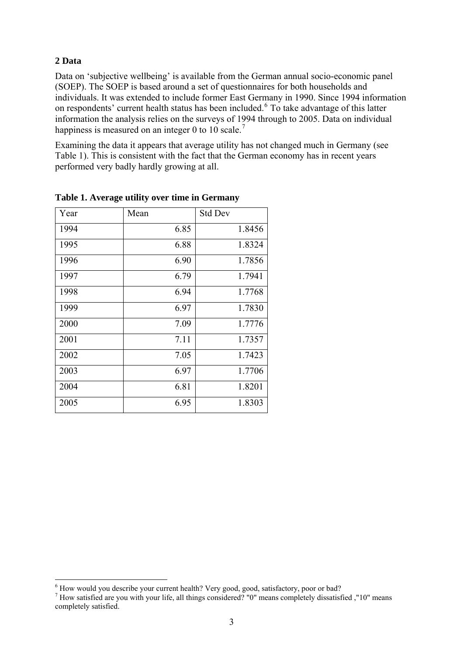### **2 Data**

1

Data on 'subjective wellbeing' is available from the German annual socio-economic panel (SOEP). The SOEP is based around a set of questionnaires for both households and individuals. It was extended to include former East Germany in 1990. Since 1994 information on respondents' current health status has been included. <sup>[6](#page-2-0)</sup> To take advantage of this latter information the analysis relies on the surveys of 1994 through to 2005. Data on individual happiness is measured on an integer 0 to 10 scale.<sup>[7](#page-2-1)</sup>

Examining the data it appears that average utility has not changed much in Germany (see Table 1). This is consistent with the fact that the German economy has in recent years performed very badly hardly growing at all.

| Year | Mean | <b>Std Dev</b> |
|------|------|----------------|
| 1994 | 6.85 | 1.8456         |
| 1995 | 6.88 | 1.8324         |
| 1996 | 6.90 | 1.7856         |
| 1997 | 6.79 | 1.7941         |
| 1998 | 6.94 | 1.7768         |
| 1999 | 6.97 | 1.7830         |
| 2000 | 7.09 | 1.7776         |
| 2001 | 7.11 | 1.7357         |
| 2002 | 7.05 | 1.7423         |
| 2003 | 6.97 | 1.7706         |
| 2004 | 6.81 | 1.8201         |
| 2005 | 6.95 | 1.8303         |

**Table 1. Average utility over time in Germany** 

<span id="page-2-0"></span><sup>&</sup>lt;sup>6</sup> How would you describe your current health? Very good, good, satisfactory, poor or bad?

<span id="page-2-1"></span><sup>&</sup>lt;sup>7</sup> How satisfied are you with your life, all things considered? "0" means completely dissatisfied ,"10" means completely satisfied.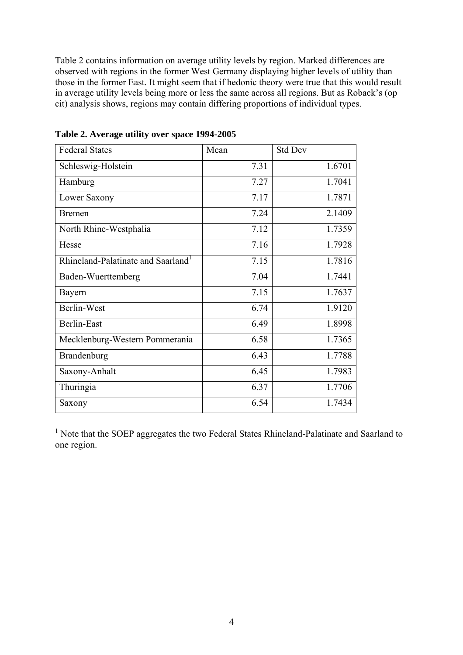Table 2 contains information on average utility levels by region. Marked differences are observed with regions in the former West Germany displaying higher levels of utility than those in the former East. It might seem that if hedonic theory were true that this would result in average utility levels being more or less the same across all regions. But as Roback's (op cit) analysis shows, regions may contain differing proportions of individual types.

| <b>Federal States</b>                          | Mean | <b>Std Dev</b> |
|------------------------------------------------|------|----------------|
| Schleswig-Holstein                             | 7.31 | 1.6701         |
| Hamburg                                        | 7.27 | 1.7041         |
| Lower Saxony                                   | 7.17 | 1.7871         |
| <b>Bremen</b>                                  | 7.24 | 2.1409         |
| North Rhine-Westphalia                         | 7.12 | 1.7359         |
| Hesse                                          | 7.16 | 1.7928         |
| Rhineland-Palatinate and Saarland <sup>1</sup> | 7.15 | 1.7816         |
| Baden-Wuerttemberg                             | 7.04 | 1.7441         |
| Bayern                                         | 7.15 | 1.7637         |
| Berlin-West                                    | 6.74 | 1.9120         |
| <b>Berlin-East</b>                             | 6.49 | 1.8998         |
| Mecklenburg-Western Pommerania                 | 6.58 | 1.7365         |
| Brandenburg                                    | 6.43 | 1.7788         |
| Saxony-Anhalt                                  | 6.45 | 1.7983         |
| Thuringia                                      | 6.37 | 1.7706         |
| Saxony                                         | 6.54 | 1.7434         |

**Table 2. Average utility over space 1994-2005** 

<sup>1</sup> Note that the SOEP aggregates the two Federal States Rhineland-Palatinate and Saarland to one region.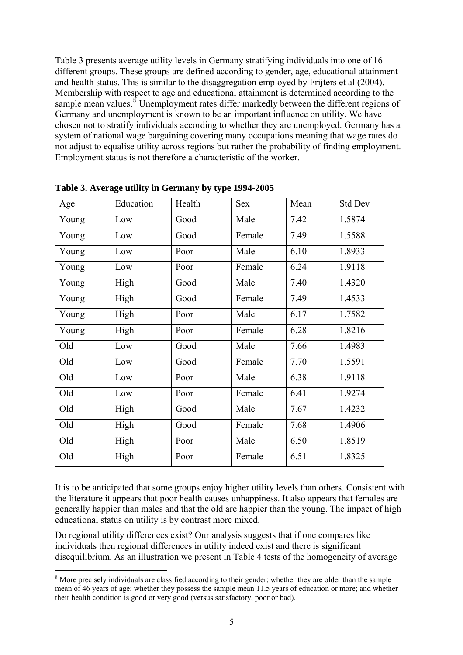Table 3 presents average utility levels in Germany stratifying individuals into one of 16 different groups. These groups are defined according to gender, age, educational attainment and health status. This is similar to the disaggregation employed by Frijters et al (2004). Membership with respect to age and educational attainment is determined according to the sample mean values. $\delta$  Unemployment rates differ markedly between the different regions of Germany and unemployment is known to be an important influence on utility. We have chosen not to stratify individuals according to whether they are unemployed. Germany has a system of national wage bargaining covering many occupations meaning that wage rates do not adjust to equalise utility across regions but rather the probability of finding employment. Employment status is not therefore a characteristic of the worker.

| Age   | Education | Health | <b>Sex</b> | Mean | <b>Std Dev</b> |
|-------|-----------|--------|------------|------|----------------|
| Young | Low       | Good   | Male       | 7.42 | 1.5874         |
| Young | Low       | Good   | Female     | 7.49 | 1.5588         |
| Young | Low       | Poor   | Male       | 6.10 | 1.8933         |
| Young | Low       | Poor   | Female     | 6.24 | 1.9118         |
| Young | High      | Good   | Male       | 7.40 | 1.4320         |
| Young | High      | Good   | Female     | 7.49 | 1.4533         |
| Young | High      | Poor   | Male       | 6.17 | 1.7582         |
| Young | High      | Poor   | Female     | 6.28 | 1.8216         |
| Old   | Low       | Good   | Male       | 7.66 | 1.4983         |
| Old   | Low       | Good   | Female     | 7.70 | 1.5591         |
| Old   | Low       | Poor   | Male       | 6.38 | 1.9118         |
| Old   | Low       | Poor   | Female     | 6.41 | 1.9274         |
| Old   | High      | Good   | Male       | 7.67 | 1.4232         |
| Old   | High      | Good   | Female     | 7.68 | 1.4906         |
| Old   | High      | Poor   | Male       | 6.50 | 1.8519         |
| Old   | High      | Poor   | Female     | 6.51 | 1.8325         |

**Table 3. Average utility in Germany by type 1994-2005** 

It is to be anticipated that some groups enjoy higher utility levels than others. Consistent with the literature it appears that poor health causes unhappiness. It also appears that females are generally happier than males and that the old are happier than the young. The impact of high educational status on utility is by contrast more mixed.

Do regional utility differences exist? Our analysis suggests that if one compares like individuals then regional differences in utility indeed exist and there is significant disequilibrium. As an illustration we present in Table 4 tests of the homogeneity of average

1

<span id="page-4-0"></span><sup>&</sup>lt;sup>8</sup> More precisely individuals are classified according to their gender; whether they are older than the sample mean of 46 years of age; whether they possess the sample mean 11.5 years of education or more; and whether their health condition is good or very good (versus satisfactory, poor or bad).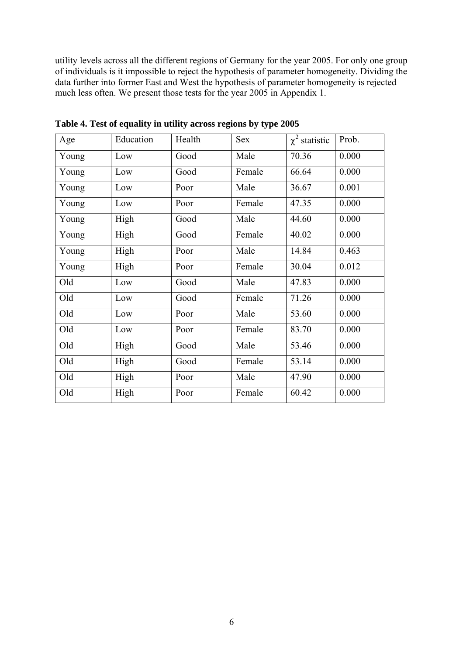utility levels across all the different regions of Germany for the year 2005. For only one group of individuals is it impossible to reject the hypothesis of parameter homogeneity. Dividing the data further into former East and West the hypothesis of parameter homogeneity is rejected much less often. We present those tests for the year 2005 in Appendix 1.

| Age   | Education | Health | <b>Sex</b> | $\chi^2$ statistic | Prob. |
|-------|-----------|--------|------------|--------------------|-------|
| Young | Low       | Good   | Male       | 70.36              | 0.000 |
| Young | Low       | Good   | Female     | 66.64              | 0.000 |
| Young | Low       | Poor   | Male       | 36.67              | 0.001 |
| Young | Low       | Poor   | Female     | 47.35              | 0.000 |
| Young | High      | Good   | Male       | 44.60              | 0.000 |
| Young | High      | Good   | Female     | 40.02              | 0.000 |
| Young | High      | Poor   | Male       | 14.84              | 0.463 |
| Young | High      | Poor   | Female     | 30.04              | 0.012 |
| Old   | Low       | Good   | Male       | 47.83              | 0.000 |
| Old   | Low       | Good   | Female     | 71.26              | 0.000 |
| Old   | Low       | Poor   | Male       | 53.60              | 0.000 |
| Old   | Low       | Poor   | Female     | 83.70              | 0.000 |
| Old   | High      | Good   | Male       | 53.46              | 0.000 |
| Old   | High      | Good   | Female     | 53.14              | 0.000 |
| Old   | High      | Poor   | Male       | 47.90              | 0.000 |
| Old   | High      | Poor   | Female     | 60.42              | 0.000 |

**Table 4. Test of equality in utility across regions by type 2005**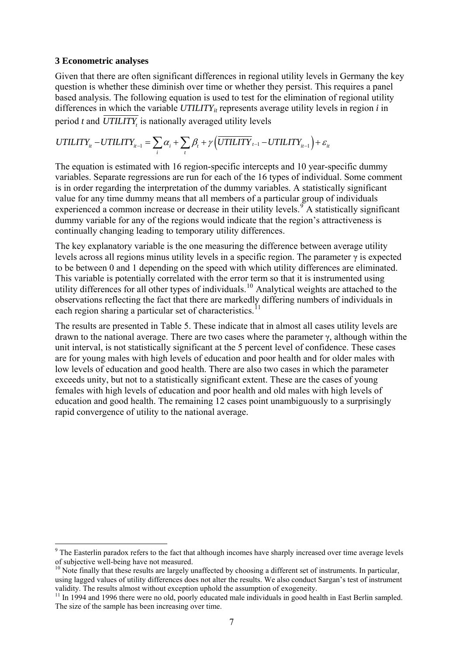#### **3 Econometric analyses**

Given that there are often significant differences in regional utility levels in Germany the key question is whether these diminish over time or whether they persist. This requires a panel based analysis. The following equation is used to test for the elimination of regional utility differences in which the variable  $UTILITY_{it}$  represents average utility levels in region  $i$  in period  $t$  and  $\overline{UTILITY}$  is nationally averaged utility levels

$$
UTILITY_{it} - UTILITY_{it-1} = \sum_{i} \alpha_i + \sum_{t} \beta_t + \gamma \left(\overline{UTILITY}_{t-1} - UTILITY_{it-1}\right) + \varepsilon_{it}
$$

The equation is estimated with 16 region-specific intercepts and 10 year-specific dummy variables. Separate regressions are run for each of the 16 types of individual. Some comment is in order regarding the interpretation of the dummy variables. A statistically significant value for any time dummy means that all members of a particular group of individuals experienced a common increase or decrease in their utility levels.  $\mathcal{I}$  A statistically significant dummy variable for any of the regions would indicate that the region's attractiveness is continually changing leading to temporary utility differences.

The key explanatory variable is the one measuring the difference between average utility levels across all regions minus utility levels in a specific region. The parameter γ is expected to be between 0 and 1 depending on the speed with which utility differences are eliminated. This variable is potentially correlated with the error term so that it is instrumented using utility differences for all other types of individuals.<sup>[10](#page-6-1)</sup> Analytical weights are attached to the observations reflecting the fact that there are markedly differing numbers of individuals in each region sharing a particular set of characteristics.<sup>1</sup>

The results are presented in Table 5. These indicate that in almost all cases utility levels are drawn to the national average. There are two cases where the parameter  $\gamma$ , although within the unit interval, is not statistically significant at the 5 percent level of confidence. These cases are for young males with high levels of education and poor health and for older males with low levels of education and good health. There are also two cases in which the parameter exceeds unity, but not to a statistically significant extent. These are the cases of young females with high levels of education and poor health and old males with high levels of education and good health. The remaining 12 cases point unambiguously to a surprisingly rapid convergence of utility to the national average.

<span id="page-6-0"></span><sup>1</sup> <sup>9</sup> The Easterlin paradox refers to the fact that although incomes have sharply increased over time average levels of subjective well-being have not measured.

<span id="page-6-1"></span> $10$  Note finally that these results are largely unaffected by choosing a different set of instruments. In particular, using lagged values of utility differences does not alter the results. We also conduct Sargan's test of instrument validity. The results almost without exception uphold the assumption of exogeneity.

<span id="page-6-2"></span><sup>&</sup>lt;sup>11</sup> In 1994 and 1996 there were no old, poorly educated male individuals in good health in East Berlin sampled. The size of the sample has been increasing over time.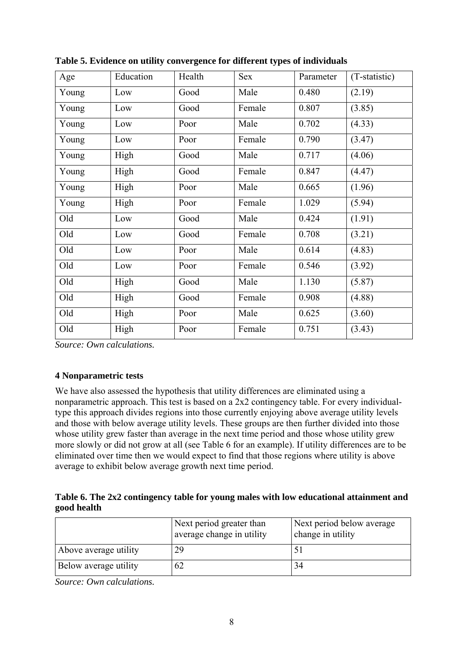| Age   | Education | Health | Sex    | Parameter | (T-statistic) |
|-------|-----------|--------|--------|-----------|---------------|
| Young | Low       | Good   | Male   | 0.480     | (2.19)        |
| Young | Low       | Good   | Female | 0.807     | (3.85)        |
| Young | Low       | Poor   | Male   | 0.702     | (4.33)        |
| Young | Low       | Poor   | Female | 0.790     | (3.47)        |
| Young | High      | Good   | Male   | 0.717     | (4.06)        |
| Young | High      | Good   | Female | 0.847     | (4.47)        |
| Young | High      | Poor   | Male   | 0.665     | (1.96)        |
| Young | High      | Poor   | Female | 1.029     | (5.94)        |
| Old   | Low       | Good   | Male   | 0.424     | (1.91)        |
| Old   | Low       | Good   | Female | 0.708     | (3.21)        |
| Old   | Low       | Poor   | Male   | 0.614     | (4.83)        |
| Old   | Low       | Poor   | Female | 0.546     | (3.92)        |
| Old   | High      | Good   | Male   | 1.130     | (5.87)        |
| Old   | High      | Good   | Female | 0.908     | (4.88)        |
| Old   | High      | Poor   | Male   | 0.625     | (3.60)        |
| Old   | High      | Poor   | Female | 0.751     | (3.43)        |

**Table 5. Evidence on utility convergence for different types of individuals** 

*Source: Own calculations.* 

# **4 Nonparametric tests**

We have also assessed the hypothesis that utility differences are eliminated using a nonparametric approach. This test is based on a 2x2 contingency table. For every individualtype this approach divides regions into those currently enjoying above average utility levels and those with below average utility levels. These groups are then further divided into those whose utility grew faster than average in the next time period and those whose utility grew more slowly or did not grow at all (see Table 6 for an example). If utility differences are to be eliminated over time then we would expect to find that those regions where utility is above average to exhibit below average growth next time period.

# **Table 6. The 2x2 contingency table for young males with low educational attainment and good health**

|                       | Next period greater than<br>average change in utility | Next period below average<br>change in utility |  |
|-----------------------|-------------------------------------------------------|------------------------------------------------|--|
| Above average utility | 29                                                    |                                                |  |
| Below average utility | 62                                                    | 34                                             |  |

*Source: Own calculations.*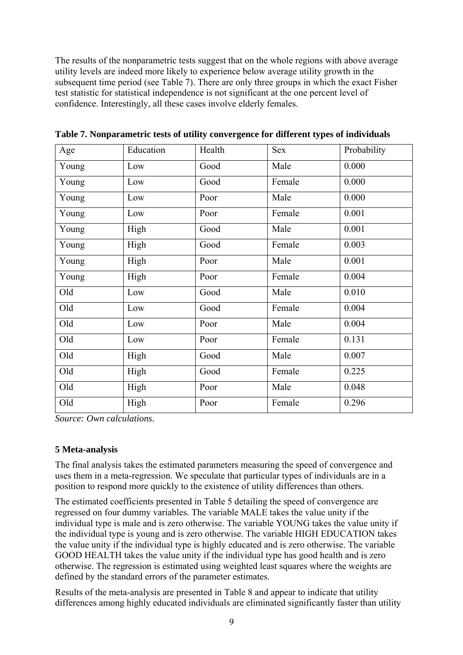The results of the nonparametric tests suggest that on the whole regions with above average utility levels are indeed more likely to experience below average utility growth in the subsequent time period (see Table 7). There are only three groups in which the exact Fisher test statistic for statistical independence is not significant at the one percent level of confidence. Interestingly, all these cases involve elderly females.

| Age   | Education | Health | Sex    | Probability |
|-------|-----------|--------|--------|-------------|
| Young | Low       | Good   | Male   | 0.000       |
| Young | Low       | Good   | Female | 0.000       |
| Young | Low       | Poor   | Male   | 0.000       |
| Young | Low       | Poor   | Female | 0.001       |
| Young | High      | Good   | Male   | 0.001       |
| Young | High      | Good   | Female | 0.003       |
| Young | High      | Poor   | Male   | 0.001       |
| Young | High      | Poor   | Female | 0.004       |
| Old   | Low       | Good   | Male   | 0.010       |
| Old   | Low       | Good   | Female | 0.004       |
| Old   | Low       | Poor   | Male   | 0.004       |
| Old   | Low       | Poor   | Female | 0.131       |
| Old   | High      | Good   | Male   | 0.007       |
| Old   | High      | Good   | Female | 0.225       |
| Old   | High      | Poor   | Male   | 0.048       |
| Old   | High      | Poor   | Female | 0.296       |

**Table 7. Nonparametric tests of utility convergence for different types of individuals** 

*Source: Own calculations.* 

## **5 Meta-analysis**

The final analysis takes the estimated parameters measuring the speed of convergence and uses them in a meta-regression. We speculate that particular types of individuals are in a position to respond more quickly to the existence of utility differences than others.

The estimated coefficients presented in Table 5 detailing the speed of convergence are regressed on four dummy variables. The variable MALE takes the value unity if the individual type is male and is zero otherwise. The variable YOUNG takes the value unity if the individual type is young and is zero otherwise. The variable HIGH EDUCATION takes the value unity if the individual type is highly educated and is zero otherwise. The variable GOOD HEALTH takes the value unity if the individual type has good health and is zero otherwise. The regression is estimated using weighted least squares where the weights are defined by the standard errors of the parameter estimates.

Results of the meta-analysis are presented in Table 8 and appear to indicate that utility differences among highly educated individuals are eliminated significantly faster than utility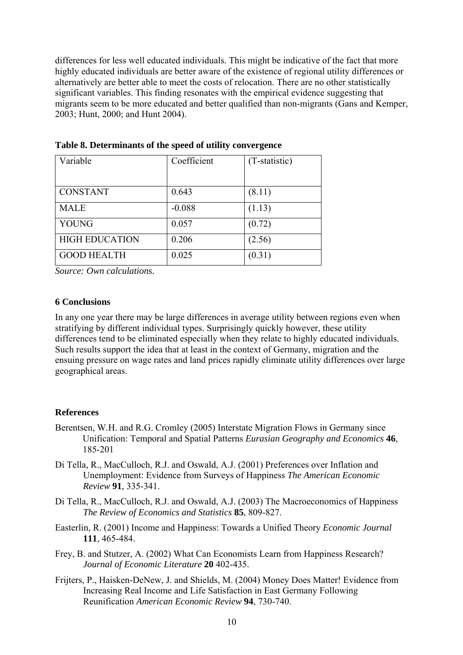differences for less well educated individuals. This might be indicative of the fact that more highly educated individuals are better aware of the existence of regional utility differences or alternatively are better able to meet the costs of relocation. There are no other statistically significant variables. This finding resonates with the empirical evidence suggesting that migrants seem to be more educated and better qualified than non-migrants (Gans and Kemper, 2003; Hunt, 2000; and Hunt 2004).

| Variable              | Coefficient | (T-statistic) |
|-----------------------|-------------|---------------|
|                       |             |               |
| <b>CONSTANT</b>       | 0.643       | (8.11)        |
| <b>MALE</b>           | $-0.088$    | (1.13)        |
| <b>YOUNG</b>          | 0.057       | (0.72)        |
| <b>HIGH EDUCATION</b> | 0.206       | (2.56)        |
| <b>GOOD HEALTH</b>    | 0.025       | (0.31)        |

**Table 8. Determinants of the speed of utility convergence** 

*Source: Own calculations.* 

## **6 Conclusions**

In any one year there may be large differences in average utility between regions even when stratifying by different individual types. Surprisingly quickly however, these utility differences tend to be eliminated especially when they relate to highly educated individuals. Such results support the idea that at least in the context of Germany, migration and the ensuing pressure on wage rates and land prices rapidly eliminate utility differences over large geographical areas.

## **References**

- Berentsen, W.H. and R.G. Cromley (2005) Interstate Migration Flows in Germany since Unification: Temporal and Spatial Patterns *Eurasian Geography and Economics* **46**, 185-201
- Di Tella, R., MacCulloch, R.J. and Oswald, A.J. (2001) Preferences over Inflation and Unemployment: Evidence from Surveys of Happiness *The American Economic Review* **91**, 335-341.
- Di Tella, R., MacCulloch, R.J. and Oswald, A.J. (2003) The Macroeconomics of Happiness *The Review of Economics and Statistics* **85**, 809-827.
- Easterlin, R. (2001) Income and Happiness: Towards a Unified Theory *Economic Journal* **111**, 465-484.
- Frey, B. and Stutzer, A. (2002) What Can Economists Learn from Happiness Research? *Journal of Economic Literature* **20** 402-435.
- Frijters, P., Haisken-DeNew, J. and Shields, M. (2004) Money Does Matter! Evidence from Increasing Real Income and Life Satisfaction in East Germany Following Reunification *American Economic Review* **94**, 730-740.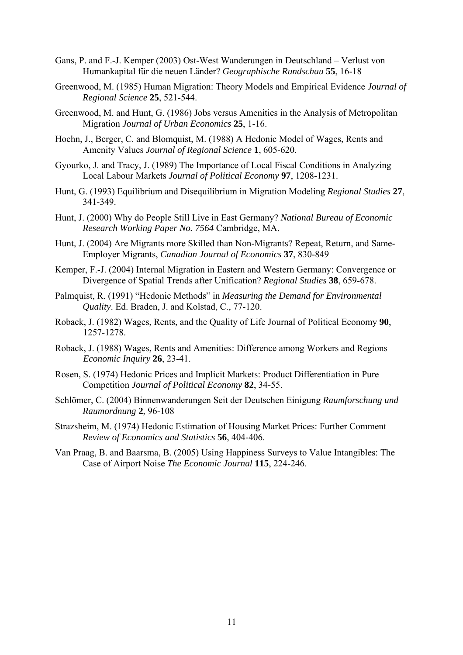- Gans, P. and F.-J. Kemper (2003) Ost-West Wanderungen in Deutschland Verlust von Humankapital für die neuen Länder? *Geographische Rundschau* **55**, 16-18
- Greenwood, M. (1985) Human Migration: Theory Models and Empirical Evidence *Journal of Regional Science* **25**, 521-544.
- Greenwood, M. and Hunt, G. (1986) Jobs versus Amenities in the Analysis of Metropolitan Migration *Journal of Urban Economics* **25**, 1-16.
- Hoehn, J., Berger, C. and Blomquist, M. (1988) A Hedonic Model of Wages, Rents and Amenity Values *Journal of Regional Science* **1**, 605-620.
- Gyourko, J. and Tracy, J. (1989) The Importance of Local Fiscal Conditions in Analyzing Local Labour Markets *Journal of Political Economy* **97**, 1208-1231.
- Hunt, G. (1993) Equilibrium and Disequilibrium in Migration Modeling *Regional Studies* **27**, 341-349.
- Hunt, J. (2000) Why do People Still Live in East Germany? *National Bureau of Economic Research Working Paper No. 7564* Cambridge, MA.
- Hunt, J. (2004) Are Migrants more Skilled than Non-Migrants? Repeat, Return, and Same-Employer Migrants, *Canadian Journal of Economics* **37**, 830-849
- Kemper, F.-J. (2004) Internal Migration in Eastern and Western Germany: Convergence or Divergence of Spatial Trends after Unification? *Regional Studies* **38**, 659-678.
- Palmquist, R. (1991) "Hedonic Methods" in *Measuring the Demand for Environmental Quality*. Ed. Braden, J. and Kolstad, C., 77-120.
- Roback, J. (1982) Wages, Rents, and the Quality of Life Journal of Political Economy **90**, 1257-1278.
- Roback, J. (1988) Wages, Rents and Amenities: Difference among Workers and Regions *Economic Inquiry* **26**, 23-41.
- Rosen, S. (1974) Hedonic Prices and Implicit Markets: Product Differentiation in Pure Competition *Journal of Political Economy* **82**, 34-55.
- Schlömer, C. (2004) Binnenwanderungen Seit der Deutschen Einigung *Raumforschung und Raumordnung* **2**, 96-108
- Strazsheim, M. (1974) Hedonic Estimation of Housing Market Prices: Further Comment *Review of Economics and Statistics* **56**, 404-406.
- Van Praag, B. and Baarsma, B. (2005) Using Happiness Surveys to Value Intangibles: The Case of Airport Noise *The Economic Journal* **115**, 224-246.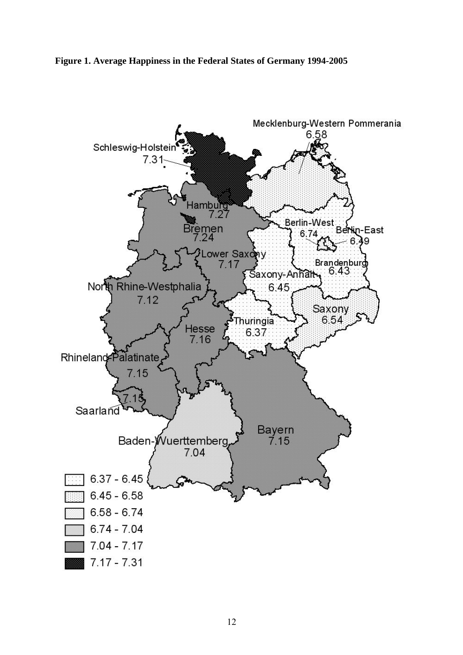#### **Figure 1. Average Happiness in the Federal States of Germany 1994-2005**